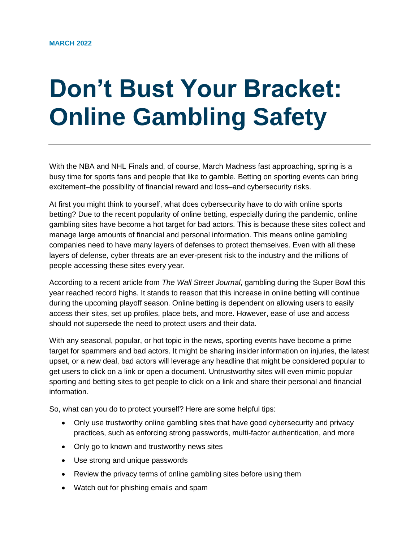## **Don't Bust Your Bracket: Online Gambling Safety**

With the NBA and NHL Finals and, of course, March Madness fast approaching, spring is a busy time for sports fans and people that like to gamble. Betting on sporting events can bring excitement–the possibility of financial reward and loss–and cybersecurity risks.

At first you might think to yourself, what does cybersecurity have to do with online sports betting? Due to the recent popularity of online betting, especially during the pandemic, online gambling sites have become a hot target for bad actors. This is because these sites collect and manage large amounts of financial and personal information. This means online gambling companies need to have many layers of defenses to protect themselves. Even with all these layers of defense, cyber threats are an ever-present risk to the industry and the millions of people accessing these sites every year.

According to a recent article from *The Wall Street Journal*, gambling during the Super Bowl this year reached record highs. It stands to reason that this increase in online betting will continue during the upcoming playoff season. Online betting is dependent on allowing users to easily access their sites, set up profiles, place bets, and more. However, ease of use and access should not supersede the need to protect users and their data.

With any seasonal, popular, or hot topic in the news, sporting events have become a prime target for spammers and bad actors. It might be sharing insider information on injuries, the latest upset, or a new deal, bad actors will leverage any headline that might be considered popular to get users to click on a link or open a document. Untrustworthy sites will even mimic popular sporting and betting sites to get people to click on a link and share their personal and financial information.

So, what can you do to protect yourself? Here are some helpful tips:

- Only use trustworthy online gambling sites that have good cybersecurity and privacy practices, such as enforcing strong passwords, multi-factor authentication, and more
- Only go to known and trustworthy news sites
- Use strong and unique passwords
- Review the privacy terms of online gambling sites before using them
- Watch out for phishing emails and spam